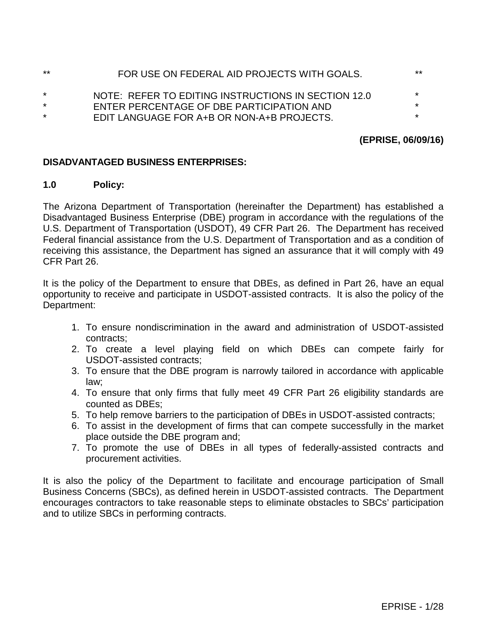| ** | FOR USE ON FEDERAL AID PROJECTS WITH GOALS.         | $***$   |
|----|-----------------------------------------------------|---------|
| *. | NOTE: REFER TO EDITING INSTRUCTIONS IN SECTION 12.0 | *       |
| *  | ENTER PERCENTAGE OF DBE PARTICIPATION AND           | *       |
| *  | EDIT LANGUAGE FOR A+B OR NON-A+B PROJECTS.          | $\star$ |
|    |                                                     |         |

## **(EPRISE, 06/09/16)**

#### **DISADVANTAGED BUSINESS ENTERPRISES:**

#### **1.0 Policy:**

The Arizona Department of Transportation (hereinafter the Department) has established a Disadvantaged Business Enterprise (DBE) program in accordance with the regulations of the U.S. Department of Transportation (USDOT), 49 CFR Part 26. The Department has received Federal financial assistance from the U.S. Department of Transportation and as a condition of receiving this assistance, the Department has signed an assurance that it will comply with 49 CFR Part 26.

It is the policy of the Department to ensure that DBEs, as defined in Part 26, have an equal opportunity to receive and participate in USDOT-assisted contracts. It is also the policy of the Department:

- 1. To ensure nondiscrimination in the award and administration of USDOT-assisted contracts;
- 2. To create a level playing field on which DBEs can compete fairly for USDOT-assisted contracts;
- 3. To ensure that the DBE program is narrowly tailored in accordance with applicable law;
- 4. To ensure that only firms that fully meet 49 CFR Part 26 eligibility standards are counted as DBEs;
- 5. To help remove barriers to the participation of DBEs in USDOT-assisted contracts;
- 6. To assist in the development of firms that can compete successfully in the market place outside the DBE program and;
- 7. To promote the use of DBEs in all types of federally-assisted contracts and procurement activities.

It is also the policy of the Department to facilitate and encourage participation of Small Business Concerns (SBCs), as defined herein in USDOT-assisted contracts. The Department encourages contractors to take reasonable steps to eliminate obstacles to SBCs' participation and to utilize SBCs in performing contracts.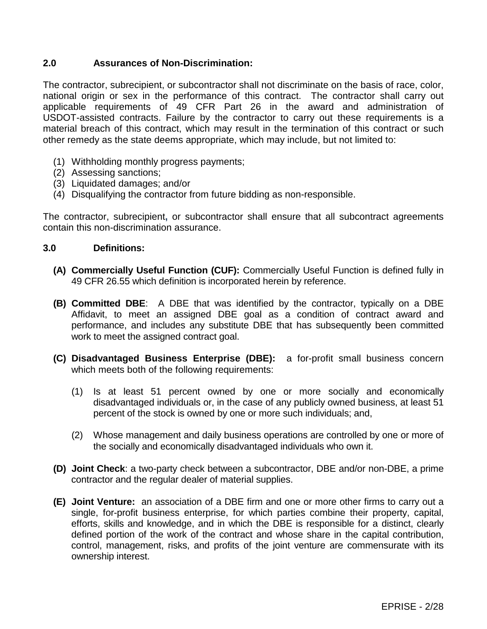## **2.0 Assurances of Non-Discrimination:**

The contractor, subrecipient, or subcontractor shall not discriminate on the basis of race, color, national origin or sex in the performance of this contract. The contractor shall carry out applicable requirements of 49 CFR Part 26 in the award and administration of USDOT-assisted contracts. Failure by the contractor to carry out these requirements is a material breach of this contract, which may result in the termination of this contract or such other remedy as the state deems appropriate, which may include, but not limited to:

- (1) Withholding monthly progress payments;
- (2) Assessing sanctions;
- (3) Liquidated damages; and/or
- (4) Disqualifying the contractor from future bidding as non-responsible.

The contractor, subrecipient**,** or subcontractor shall ensure that all subcontract agreements contain this non-discrimination assurance.

### **3.0 Definitions:**

- **(A) Commercially Useful Function (CUF):** Commercially Useful Function is defined fully in 49 CFR 26.55 which definition is incorporated herein by reference.
- **(B) Committed DBE**: A DBE that was identified by the contractor, typically on a DBE Affidavit, to meet an assigned DBE goal as a condition of contract award and performance, and includes any substitute DBE that has subsequently been committed work to meet the assigned contract goal.
- **(C) Disadvantaged Business Enterprise (DBE):** a for-profit small business concern which meets both of the following requirements:
	- (1) Is at least 51 percent owned by one or more socially and economically disadvantaged individuals or, in the case of any publicly owned business, at least 51 percent of the stock is owned by one or more such individuals; and,
	- (2) Whose management and daily business operations are controlled by one or more of the socially and economically disadvantaged individuals who own it.
- **(D) Joint Check**: a two-party check between a subcontractor, DBE and/or non-DBE, a prime contractor and the regular dealer of material supplies.
- **(E) Joint Venture:** an association of a DBE firm and one or more other firms to carry out a single, for-profit business enterprise, for which parties combine their property, capital, efforts, skills and knowledge, and in which the DBE is responsible for a distinct, clearly defined portion of the work of the contract and whose share in the capital contribution, control, management, risks, and profits of the joint venture are commensurate with its ownership interest.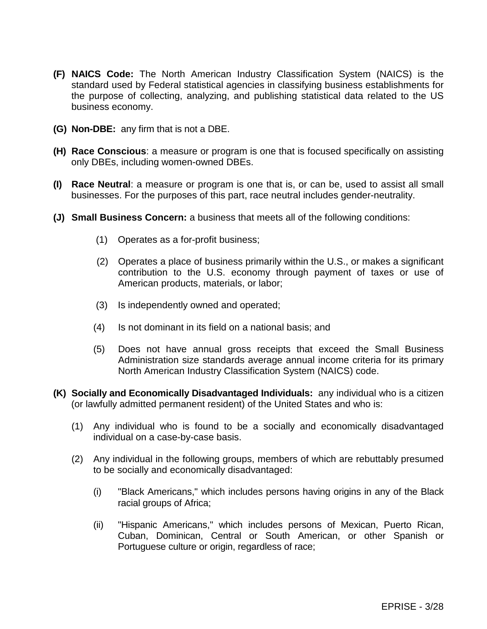- **(F) NAICS Code:** The North American Industry Classification System (NAICS) is the standard used by Federal statistical agencies in classifying business establishments for the purpose of collecting, analyzing, and publishing statistical data related to the US business economy.
- **(G) Non-DBE:** any firm that is not a DBE.
- **(H) Race Conscious**: a measure or program is one that is focused specifically on assisting only DBEs, including women-owned DBEs.
- **(I) Race Neutral**: a measure or program is one that is, or can be, used to assist all small businesses. For the purposes of this part, race neutral includes gender-neutrality.
- **(J) Small Business Concern:** a business that meets all of the following conditions:
	- (1) Operates as a for-profit business;
	- (2) Operates a place of business primarily within the U.S., or makes a significant contribution to the U.S. economy through payment of taxes or use of American products, materials, or labor;
	- (3) Is independently owned and operated;
	- (4) Is not dominant in its field on a national basis; and
	- (5) Does not have annual gross receipts that exceed the Small Business Administration size standards average annual income criteria for its primary North American Industry Classification System (NAICS) code.
- **(K) Socially and Economically Disadvantaged Individuals:** any individual who is a citizen (or lawfully admitted permanent resident) of the United States and who is:
	- (1) Any individual who is found to be a socially and economically disadvantaged individual on a case-by-case basis.
	- (2) Any individual in the following groups, members of which are rebuttably presumed to be socially and economically disadvantaged:
		- (i) "Black Americans," which includes persons having origins in any of the Black racial groups of Africa;
		- (ii) "Hispanic Americans," which includes persons of Mexican, Puerto Rican, Cuban, Dominican, Central or South American, or other Spanish or Portuguese culture or origin, regardless of race;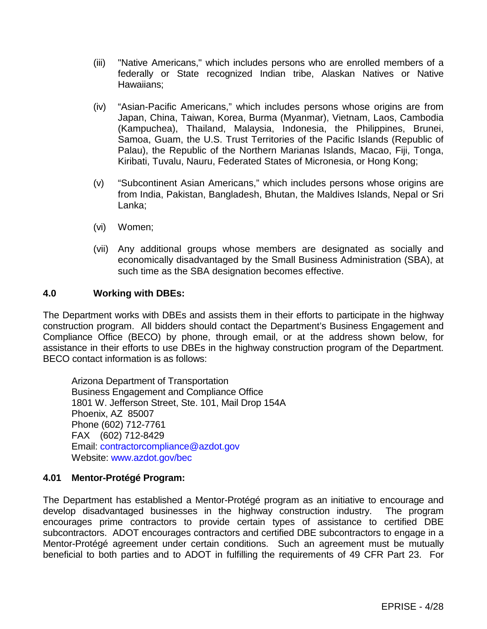- (iii) "Native Americans," which includes persons who are enrolled members of a federally or State recognized Indian tribe, Alaskan Natives or Native Hawaiians;
- (iv) "Asian-Pacific Americans," which includes persons whose origins are from Japan, China, Taiwan, Korea, Burma (Myanmar), Vietnam, Laos, Cambodia (Kampuchea), Thailand, Malaysia, Indonesia, the Philippines, Brunei, Samoa, Guam, the U.S. Trust Territories of the Pacific Islands (Republic of Palau), the Republic of the Northern Marianas Islands, Macao, Fiji, Tonga, Kiribati, Tuvalu, Nauru, Federated States of Micronesia, or Hong Kong;
- (v) "Subcontinent Asian Americans," which includes persons whose origins are from India, Pakistan, Bangladesh, Bhutan, the Maldives Islands, Nepal or Sri Lanka;
- (vi) Women;
- (vii) Any additional groups whose members are designated as socially and economically disadvantaged by the Small Business Administration (SBA), at such time as the SBA designation becomes effective.

### **4.0 Working with DBEs:**

The Department works with DBEs and assists them in their efforts to participate in the highway construction program. All bidders should contact the Department's Business Engagement and Compliance Office (BECO) by phone, through email, or at the address shown below, for assistance in their efforts to use DBEs in the highway construction program of the Department. BECO contact information is as follows:

Arizona Department of Transportation Business Engagement and Compliance Office 1801 W. Jefferson Street, Ste. 101, Mail Drop 154A Phoenix, AZ 85007 Phone (602) 712-7761 FAX (602) 712-8429 Email: [contractorcompliance@azdot.gov](mailto:contractorcompliance@azdot.gov) Website: [www.azdot.gov/bec](http://www.azdot.gov/bec)

### **4.01 Mentor-Protégé Program:**

The Department has established a Mentor-Protégé program as an initiative to encourage and develop disadvantaged businesses in the highway construction industry. The program encourages prime contractors to provide certain types of assistance to certified DBE subcontractors. ADOT encourages contractors and certified DBE subcontractors to engage in a Mentor-Protégé agreement under certain conditions. Such an agreement must be mutually beneficial to both parties and to ADOT in fulfilling the requirements of 49 CFR Part 23. For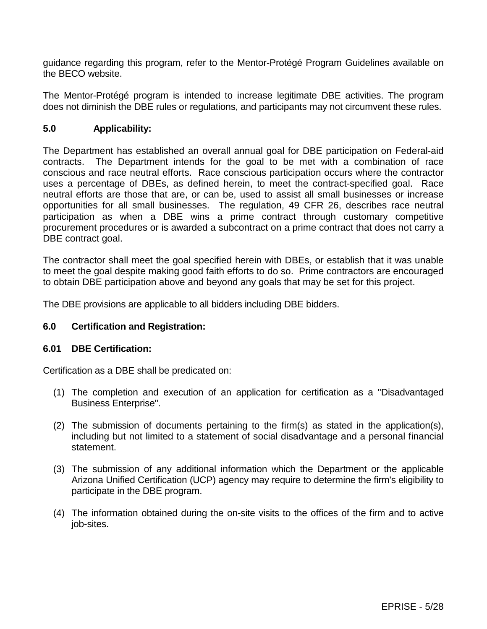guidance regarding this program, refer to the Mentor-Protégé Program Guidelines available on the BECO website.

The Mentor-Protégé program is intended to increase legitimate DBE activities. The program does not diminish the DBE rules or regulations, and participants may not circumvent these rules.

#### **5.0 Applicability:**

The Department has established an overall annual goal for DBE participation on Federal-aid contracts. The Department intends for the goal to be met with a combination of race conscious and race neutral efforts. Race conscious participation occurs where the contractor uses a percentage of DBEs, as defined herein, to meet the contract-specified goal. Race neutral efforts are those that are, or can be, used to assist all small businesses or increase opportunities for all small businesses. The regulation, 49 CFR 26, describes race neutral participation as when a DBE wins a prime contract through customary competitive procurement procedures or is awarded a subcontract on a prime contract that does not carry a DBE contract goal.

The contractor shall meet the goal specified herein with DBEs, or establish that it was unable to meet the goal despite making good faith efforts to do so. Prime contractors are encouraged to obtain DBE participation above and beyond any goals that may be set for this project.

The DBE provisions are applicable to all bidders including DBE bidders.

#### **6.0 Certification and Registration:**

#### **6.01 DBE Certification:**

Certification as a DBE shall be predicated on:

- (1) The completion and execution of an application for certification as a "Disadvantaged Business Enterprise".
- (2) The submission of documents pertaining to the firm(s) as stated in the application(s), including but not limited to a statement of social disadvantage and a personal financial statement.
- (3) The submission of any additional information which the Department or the applicable Arizona Unified Certification (UCP) agency may require to determine the firm's eligibility to participate in the DBE program.
- (4) The information obtained during the on-site visits to the offices of the firm and to active job-sites.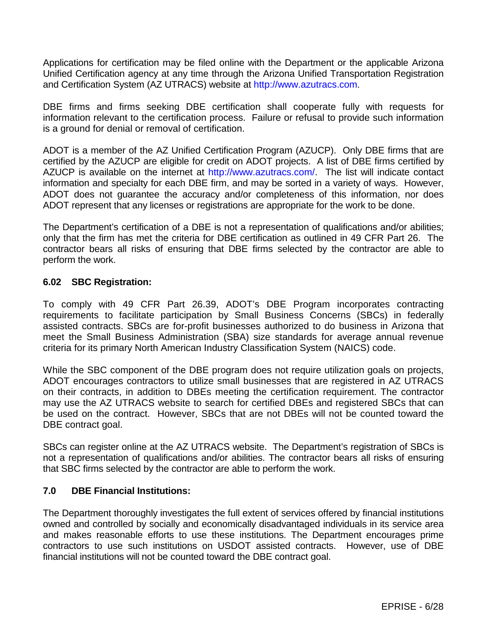Applications for certification may be filed online with the Department or the applicable Arizona Unified Certification agency at any time through the Arizona Unified Transportation Registration and Certification System (AZ UTRACS) website at [http://www.azutracs.com.](http://www.azutracs.com/)

DBE firms and firms seeking DBE certification shall cooperate fully with requests for information relevant to the certification process. Failure or refusal to provide such information is a ground for denial or removal of certification.

ADOT is a member of the AZ Unified Certification Program (AZUCP). Only DBE firms that are certified by the AZUCP are eligible for credit on ADOT projects. A list of DBE firms certified by AZUCP is available on the internet at [http://www.azutracs.com/.](http://www.azutracs.com/) The list will indicate contact information and specialty for each DBE firm, and may be sorted in a variety of ways. However, ADOT does not guarantee the accuracy and/or completeness of this information, nor does ADOT represent that any licenses or registrations are appropriate for the work to be done.

The Department's certification of a DBE is not a representation of qualifications and/or abilities; only that the firm has met the criteria for DBE certification as outlined in 49 CFR Part 26. The contractor bears all risks of ensuring that DBE firms selected by the contractor are able to perform the work.

### **6.02 SBC Registration:**

To comply with 49 CFR Part 26.39, ADOT's DBE Program incorporates contracting requirements to facilitate participation by Small Business Concerns (SBCs) in federally assisted contracts. SBCs are for-profit businesses authorized to do business in Arizona that meet the Small Business Administration (SBA) size standards for average annual revenue criteria for its primary North American Industry Classification System (NAICS) code.

While the SBC component of the DBE program does not require utilization goals on projects, ADOT encourages contractors to utilize small businesses that are registered in AZ UTRACS on their contracts, in addition to DBEs meeting the certification requirement. The contractor may use the AZ UTRACS website to search for certified DBEs and registered SBCs that can be used on the contract. However, SBCs that are not DBEs will not be counted toward the DBE contract goal.

SBCs can register online at the AZ UTRACS website. The Department's registration of SBCs is not a representation of qualifications and/or abilities. The contractor bears all risks of ensuring that SBC firms selected by the contractor are able to perform the work.

### **7.0 DBE Financial Institutions:**

The Department thoroughly investigates the full extent of services offered by financial institutions owned and controlled by socially and economically disadvantaged individuals in its service area and makes reasonable efforts to use these institutions. The Department encourages prime contractors to use such institutions on USDOT assisted contracts. However, use of DBE financial institutions will not be counted toward the DBE contract goal.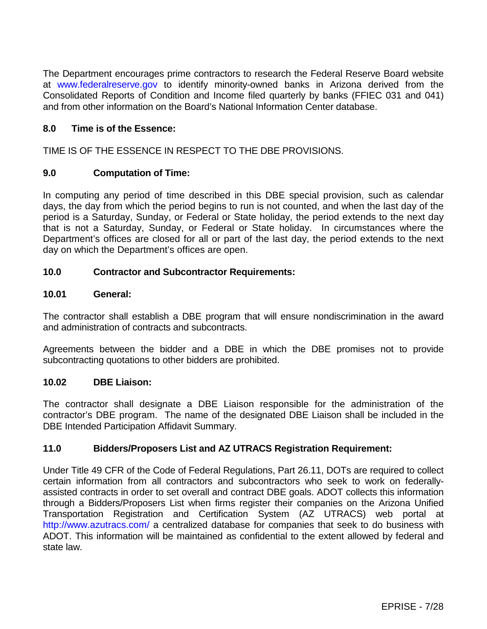The Department encourages prime contractors to research the Federal Reserve Board website at [www.federalreserve.gov](http://www.federalreserve.gov/) to identify minority-owned banks in Arizona derived from the Consolidated Reports of Condition and Income filed quarterly by banks (FFIEC 031 and 041) and from other information on the Board's National Information Center database.

## **8.0 Time is of the Essence:**

TIME IS OF THE ESSENCE IN RESPECT TO THE DBE PROVISIONS.

### **9.0 Computation of Time:**

In computing any period of time described in this DBE special provision, such as calendar days, the day from which the period begins to run is not counted, and when the last day of the period is a Saturday, Sunday, or Federal or State holiday, the period extends to the next day that is not a Saturday, Sunday, or Federal or State holiday. In circumstances where the Department's offices are closed for all or part of the last day, the period extends to the next day on which the Department's offices are open.

## **10.0 Contractor and Subcontractor Requirements:**

#### **10.01 General:**

The contractor shall establish a DBE program that will ensure nondiscrimination in the award and administration of contracts and subcontracts.

Agreements between the bidder and a DBE in which the DBE promises not to provide subcontracting quotations to other bidders are prohibited.

### **10.02 DBE Liaison:**

The contractor shall designate a DBE Liaison responsible for the administration of the contractor's DBE program. The name of the designated DBE Liaison shall be included in the DBE Intended Participation Affidavit Summary.

### **11.0 Bidders/Proposers List and AZ UTRACS Registration Requirement:**

Under Title 49 CFR of the Code of Federal Regulations, Part 26.11, DOTs are required to collect certain information from all contractors and subcontractors who seek to work on federallyassisted contracts in order to set overall and contract DBE goals. ADOT collects this information through a Bidders/Proposers List when firms register their companies on the Arizona Unified Transportation Registration and Certification System (AZ UTRACS) web portal at <http://www.azutracs.com/> a centralized database for companies that seek to do business with ADOT. This information will be maintained as confidential to the extent allowed by federal and state law.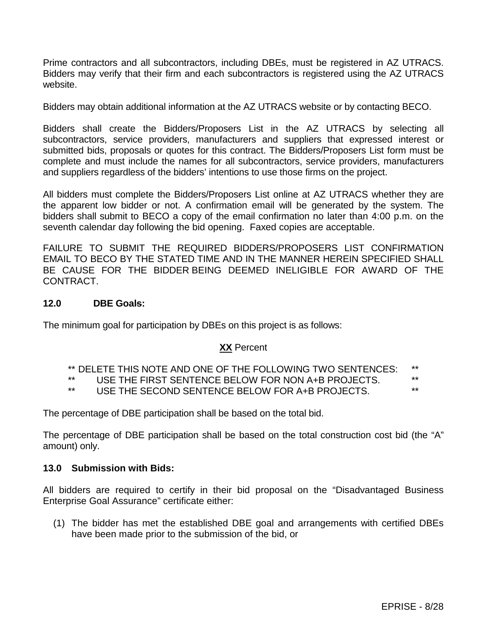Prime contractors and all subcontractors, including DBEs, must be registered in AZ UTRACS. Bidders may verify that their firm and each subcontractors is registered using the AZ UTRACS website.

Bidders may obtain additional information at the AZ UTRACS website or by contacting BECO.

Bidders shall create the Bidders/Proposers List in the AZ UTRACS by selecting all subcontractors, service providers, manufacturers and suppliers that expressed interest or submitted bids, proposals or quotes for this contract. The Bidders/Proposers List form must be complete and must include the names for all subcontractors, service providers, manufacturers and suppliers regardless of the bidders' intentions to use those firms on the project.

All bidders must complete the Bidders/Proposers List online at AZ UTRACS whether they are the apparent low bidder or not. A confirmation email will be generated by the system. The bidders shall submit to BECO a copy of the email confirmation no later than 4:00 p.m. on the seventh calendar day following the bid opening. Faxed copies are acceptable.

FAILURE TO SUBMIT THE REQUIRED BIDDERS/PROPOSERS LIST CONFIRMATION EMAIL TO BECO BY THE STATED TIME AND IN THE MANNER HEREIN SPECIFIED SHALL BE CAUSE FOR THE BIDDER BEING DEEMED INELIGIBLE FOR AWARD OF THE CONTRACT.

### **12.0 DBE Goals:**

The minimum goal for participation by DBEs on this project is as follows:

# **XX** Percent

\*\* DELETE THIS NOTE AND ONE OF THE FOLLOWING TWO SENTENCES: \*\*

\*\* USE THE FIRST SENTENCE BELOW FOR NON A+B PROJECTS.

USE THE SECOND SENTENCE BELOW FOR A+B PROJECTS.

The percentage of DBE participation shall be based on the total bid.

The percentage of DBE participation shall be based on the total construction cost bid (the "A" amount) only.

#### **13.0 Submission with Bids:**

All bidders are required to certify in their bid proposal on the "Disadvantaged Business Enterprise Goal Assurance" certificate either:

(1) The bidder has met the established DBE goal and arrangements with certified DBEs have been made prior to the submission of the bid, or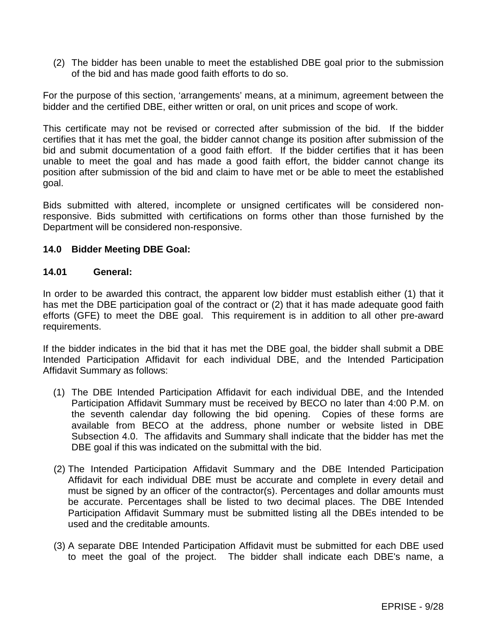(2) The bidder has been unable to meet the established DBE goal prior to the submission of the bid and has made good faith efforts to do so.

For the purpose of this section, 'arrangements' means, at a minimum, agreement between the bidder and the certified DBE, either written or oral, on unit prices and scope of work.

This certificate may not be revised or corrected after submission of the bid. If the bidder certifies that it has met the goal, the bidder cannot change its position after submission of the bid and submit documentation of a good faith effort. If the bidder certifies that it has been unable to meet the goal and has made a good faith effort, the bidder cannot change its position after submission of the bid and claim to have met or be able to meet the established goal.

Bids submitted with altered, incomplete or unsigned certificates will be considered nonresponsive. Bids submitted with certifications on forms other than those furnished by the Department will be considered non-responsive.

#### **14.0 Bidder Meeting DBE Goal:**

#### **14.01 General:**

In order to be awarded this contract, the apparent low bidder must establish either (1) that it has met the DBE participation goal of the contract or (2) that it has made adequate good faith efforts (GFE) to meet the DBE goal. This requirement is in addition to all other pre-award requirements.

If the bidder indicates in the bid that it has met the DBE goal, the bidder shall submit a DBE Intended Participation Affidavit for each individual DBE, and the Intended Participation Affidavit Summary as follows:

- (1) The DBE Intended Participation Affidavit for each individual DBE, and the Intended Participation Affidavit Summary must be received by BECO no later than 4:00 P.M. on the seventh calendar day following the bid opening. Copies of these forms are available from BECO at the address, phone number or website listed in DBE Subsection 4.0. The affidavits and Summary shall indicate that the bidder has met the DBE goal if this was indicated on the submittal with the bid.
- (2) The Intended Participation Affidavit Summary and the DBE Intended Participation Affidavit for each individual DBE must be accurate and complete in every detail and must be signed by an officer of the contractor(s). Percentages and dollar amounts must be accurate. Percentages shall be listed to two decimal places. The DBE Intended Participation Affidavit Summary must be submitted listing all the DBEs intended to be used and the creditable amounts.
- (3) A separate DBE Intended Participation Affidavit must be submitted for each DBE used to meet the goal of the project. The bidder shall indicate each DBE's name, a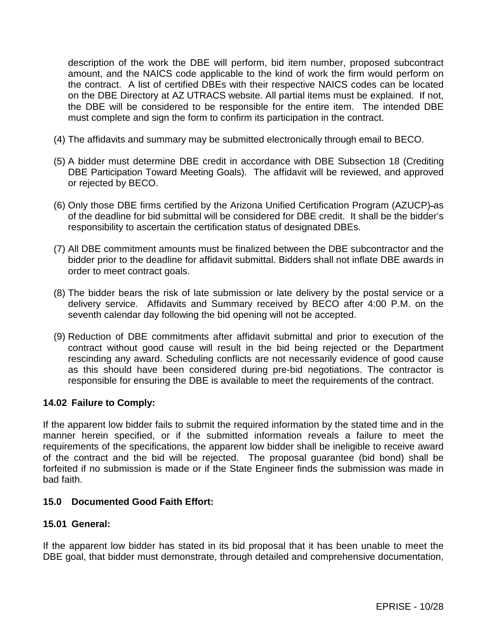description of the work the DBE will perform, bid item number, proposed subcontract amount, and the NAICS code applicable to the kind of work the firm would perform on the contract. A list of certified DBEs with their respective NAICS codes can be located on the DBE Directory at AZ UTRACS website. All partial items must be explained. If not, the DBE will be considered to be responsible for the entire item. The intended DBE must complete and sign the form to confirm its participation in the contract.

- (4) The affidavits and summary may be submitted electronically through email to BECO.
- (5) A bidder must determine DBE credit in accordance with DBE Subsection 18 (Crediting DBE Participation Toward Meeting Goals). The affidavit will be reviewed, and approved or rejected by BECO.
- (6) Only those DBE firms certified by the Arizona Unified Certification Program (AZUCP) as of the deadline for bid submittal will be considered for DBE credit. It shall be the bidder's responsibility to ascertain the certification status of designated DBEs.
- (7) All DBE commitment amounts must be finalized between the DBE subcontractor and the bidder prior to the deadline for affidavit submittal. Bidders shall not inflate DBE awards in order to meet contract goals.
- (8) The bidder bears the risk of late submission or late delivery by the postal service or a delivery service. Affidavits and Summary received by BECO after 4:00 P.M. on the seventh calendar day following the bid opening will not be accepted.
- (9) Reduction of DBE commitments after affidavit submittal and prior to execution of the contract without good cause will result in the bid being rejected or the Department rescinding any award. Scheduling conflicts are not necessarily evidence of good cause as this should have been considered during pre-bid negotiations. The contractor is responsible for ensuring the DBE is available to meet the requirements of the contract.

# **14.02 Failure to Comply:**

If the apparent low bidder fails to submit the required information by the stated time and in the manner herein specified, or if the submitted information reveals a failure to meet the requirements of the specifications, the apparent low bidder shall be ineligible to receive award of the contract and the bid will be rejected. The proposal guarantee (bid bond) shall be forfeited if no submission is made or if the State Engineer finds the submission was made in bad faith.

### **15.0 Documented Good Faith Effort:**

### **15.01 General:**

If the apparent low bidder has stated in its bid proposal that it has been unable to meet the DBE goal, that bidder must demonstrate, through detailed and comprehensive documentation,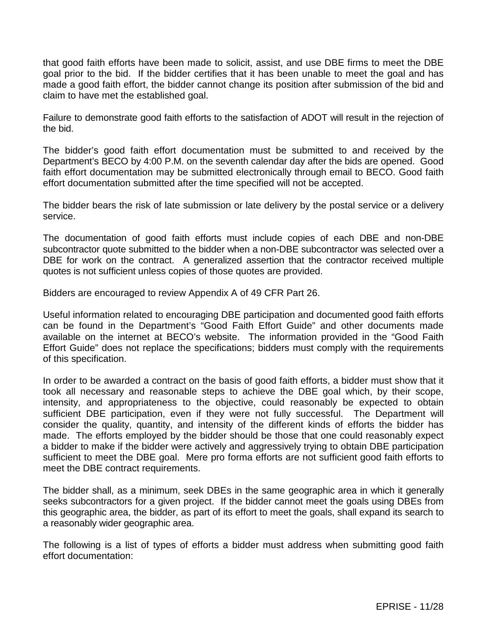that good faith efforts have been made to solicit, assist, and use DBE firms to meet the DBE goal prior to the bid. If the bidder certifies that it has been unable to meet the goal and has made a good faith effort, the bidder cannot change its position after submission of the bid and claim to have met the established goal.

Failure to demonstrate good faith efforts to the satisfaction of ADOT will result in the rejection of the bid.

The bidder's good faith effort documentation must be submitted to and received by the Department's BECO by 4:00 P.M. on the seventh calendar day after the bids are opened. Good faith effort documentation may be submitted electronically through email to BECO. Good faith effort documentation submitted after the time specified will not be accepted.

The bidder bears the risk of late submission or late delivery by the postal service or a delivery service.

The documentation of good faith efforts must include copies of each DBE and non-DBE subcontractor quote submitted to the bidder when a non-DBE subcontractor was selected over a DBE for work on the contract. A generalized assertion that the contractor received multiple quotes is not sufficient unless copies of those quotes are provided.

Bidders are encouraged to review Appendix A of 49 CFR Part 26.

Useful information related to encouraging DBE participation and documented good faith efforts can be found in the Department's "Good Faith Effort Guide" and other documents made available on the internet at BECO's website. The information provided in the "Good Faith Effort Guide" does not replace the specifications; bidders must comply with the requirements of this specification.

In order to be awarded a contract on the basis of good faith efforts, a bidder must show that it took all necessary and reasonable steps to achieve the DBE goal which, by their scope, intensity, and appropriateness to the objective, could reasonably be expected to obtain sufficient DBE participation, even if they were not fully successful. The Department will consider the quality, quantity, and intensity of the different kinds of efforts the bidder has made. The efforts employed by the bidder should be those that one could reasonably expect a bidder to make if the bidder were actively and aggressively trying to obtain DBE participation sufficient to meet the DBE goal. Mere pro forma efforts are not sufficient good faith efforts to meet the DBE contract requirements.

The bidder shall, as a minimum, seek DBEs in the same geographic area in which it generally seeks subcontractors for a given project. If the bidder cannot meet the goals using DBEs from this geographic area, the bidder, as part of its effort to meet the goals, shall expand its search to a reasonably wider geographic area.

The following is a list of types of efforts a bidder must address when submitting good faith effort documentation: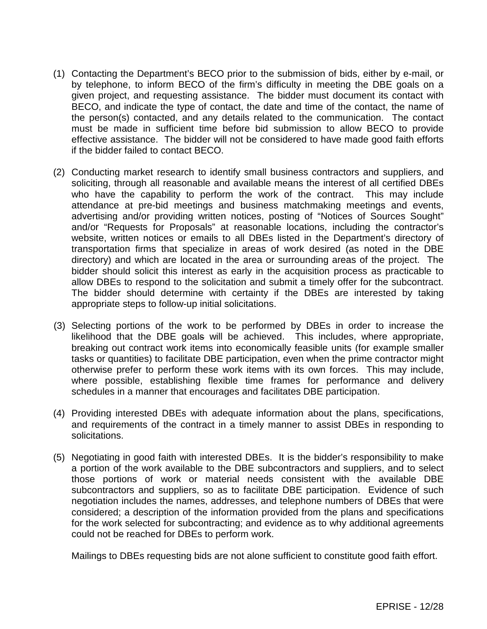- (1) Contacting the Department's BECO prior to the submission of bids, either by e-mail, or by telephone, to inform BECO of the firm's difficulty in meeting the DBE goals on a given project, and requesting assistance. The bidder must document its contact with BECO, and indicate the type of contact, the date and time of the contact, the name of the person(s) contacted, and any details related to the communication. The contact must be made in sufficient time before bid submission to allow BECO to provide effective assistance. The bidder will not be considered to have made good faith efforts if the bidder failed to contact BECO.
- (2) Conducting market research to identify small business contractors and suppliers, and soliciting, through all reasonable and available means the interest of all certified DBEs who have the capability to perform the work of the contract. This may include attendance at pre-bid meetings and business matchmaking meetings and events, advertising and/or providing written notices, posting of "Notices of Sources Sought" and/or "Requests for Proposals" at reasonable locations, including the contractor's website, written notices or emails to all DBEs listed in the Department's directory of transportation firms that specialize in areas of work desired (as noted in the DBE directory) and which are located in the area or surrounding areas of the project. The bidder should solicit this interest as early in the acquisition process as practicable to allow DBEs to respond to the solicitation and submit a timely offer for the subcontract. The bidder should determine with certainty if the DBEs are interested by taking appropriate steps to follow-up initial solicitations.
- (3) Selecting portions of the work to be performed by DBEs in order to increase the likelihood that the DBE goals will be achieved. This includes, where appropriate, breaking out contract work items into economically feasible units (for example smaller tasks or quantities) to facilitate DBE participation, even when the prime contractor might otherwise prefer to perform these work items with its own forces. This may include, where possible, establishing flexible time frames for performance and delivery schedules in a manner that encourages and facilitates DBE participation.
- (4) Providing interested DBEs with adequate information about the plans, specifications, and requirements of the contract in a timely manner to assist DBEs in responding to solicitations.
- (5) Negotiating in good faith with interested DBEs. It is the bidder's responsibility to make a portion of the work available to the DBE subcontractors and suppliers, and to select those portions of work or material needs consistent with the available DBE subcontractors and suppliers, so as to facilitate DBE participation. Evidence of such negotiation includes the names, addresses, and telephone numbers of DBEs that were considered; a description of the information provided from the plans and specifications for the work selected for subcontracting; and evidence as to why additional agreements could not be reached for DBEs to perform work.

Mailings to DBEs requesting bids are not alone sufficient to constitute good faith effort.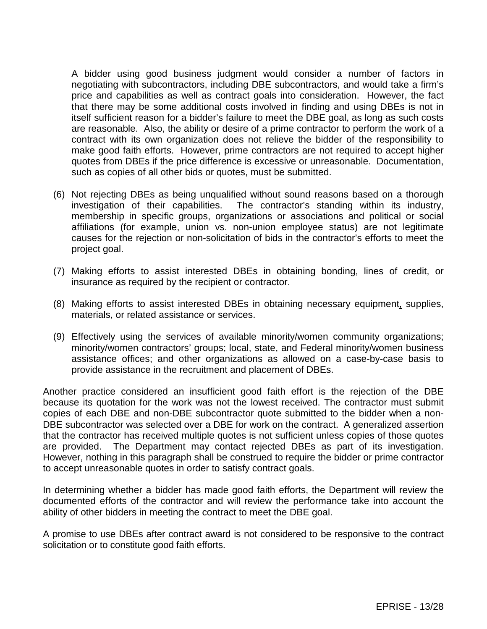A bidder using good business judgment would consider a number of factors in negotiating with subcontractors, including DBE subcontractors, and would take a firm's price and capabilities as well as contract goals into consideration. However, the fact that there may be some additional costs involved in finding and using DBEs is not in itself sufficient reason for a bidder's failure to meet the DBE goal, as long as such costs are reasonable. Also, the ability or desire of a prime contractor to perform the work of a contract with its own organization does not relieve the bidder of the responsibility to make good faith efforts. However, prime contractors are not required to accept higher quotes from DBEs if the price difference is excessive or unreasonable. Documentation, such as copies of all other bids or quotes, must be submitted.

- (6) Not rejecting DBEs as being unqualified without sound reasons based on a thorough investigation of their capabilities. The contractor's standing within its industry, membership in specific groups, organizations or associations and political or social affiliations (for example, union vs. non-union employee status) are not legitimate causes for the rejection or non-solicitation of bids in the contractor's efforts to meet the project goal.
- (7) Making efforts to assist interested DBEs in obtaining bonding, lines of credit, or insurance as required by the recipient or contractor.
- (8) Making efforts to assist interested DBEs in obtaining necessary equipment, supplies, materials, or related assistance or services.
- (9) Effectively using the services of available minority/women community organizations; minority/women contractors' groups; local, state, and Federal minority/women business assistance offices; and other organizations as allowed on a case-by-case basis to provide assistance in the recruitment and placement of DBEs.

Another practice considered an insufficient good faith effort is the rejection of the DBE because its quotation for the work was not the lowest received. The contractor must submit copies of each DBE and non-DBE subcontractor quote submitted to the bidder when a non-DBE subcontractor was selected over a DBE for work on the contract. A generalized assertion that the contractor has received multiple quotes is not sufficient unless copies of those quotes are provided. The Department may contact rejected DBEs as part of its investigation. However, nothing in this paragraph shall be construed to require the bidder or prime contractor to accept unreasonable quotes in order to satisfy contract goals.

In determining whether a bidder has made good faith efforts, the Department will review the documented efforts of the contractor and will review the performance take into account the ability of other bidders in meeting the contract to meet the DBE goal.

A promise to use DBEs after contract award is not considered to be responsive to the contract solicitation or to constitute good faith efforts.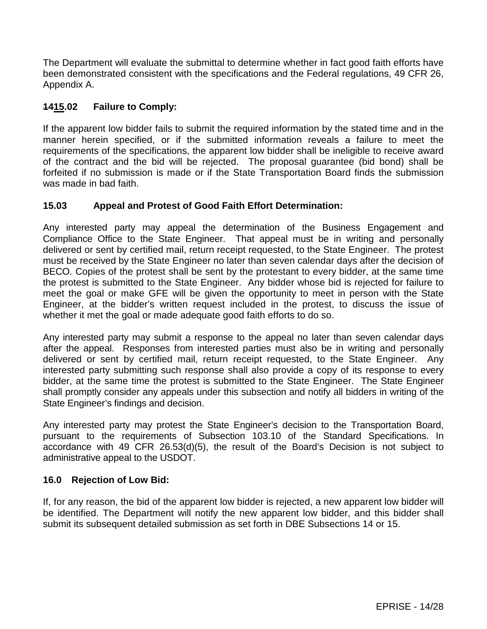The Department will evaluate the submittal to determine whether in fact good faith efforts have been demonstrated consistent with the specifications and the Federal regulations, 49 CFR 26, Appendix A.

# **1415.02 Failure to Comply:**

If the apparent low bidder fails to submit the required information by the stated time and in the manner herein specified, or if the submitted information reveals a failure to meet the requirements of the specifications, the apparent low bidder shall be ineligible to receive award of the contract and the bid will be rejected. The proposal guarantee (bid bond) shall be forfeited if no submission is made or if the State Transportation Board finds the submission was made in bad faith.

# **15.03 Appeal and Protest of Good Faith Effort Determination:**

Any interested party may appeal the determination of the Business Engagement and Compliance Office to the State Engineer. That appeal must be in writing and personally delivered or sent by certified mail, return receipt requested, to the State Engineer. The protest must be received by the State Engineer no later than seven calendar days after the decision of BECO. Copies of the protest shall be sent by the protestant to every bidder, at the same time the protest is submitted to the State Engineer. Any bidder whose bid is rejected for failure to meet the goal or make GFE will be given the opportunity to meet in person with the State Engineer, at the bidder's written request included in the protest, to discuss the issue of whether it met the goal or made adequate good faith efforts to do so.

Any interested party may submit a response to the appeal no later than seven calendar days after the appeal. Responses from interested parties must also be in writing and personally delivered or sent by certified mail, return receipt requested, to the State Engineer. Any interested party submitting such response shall also provide a copy of its response to every bidder, at the same time the protest is submitted to the State Engineer. The State Engineer shall promptly consider any appeals under this subsection and notify all bidders in writing of the State Engineer's findings and decision.

Any interested party may protest the State Engineer's decision to the Transportation Board, pursuant to the requirements of Subsection 103.10 of the Standard Specifications. In accordance with 49 CFR 26.53(d)(5), the result of the Board's Decision is not subject to administrative appeal to the USDOT.

### **16.0 Rejection of Low Bid:**

If, for any reason, the bid of the apparent low bidder is rejected, a new apparent low bidder will be identified. The Department will notify the new apparent low bidder, and this bidder shall submit its subsequent detailed submission as set forth in DBE Subsections 14 or 15.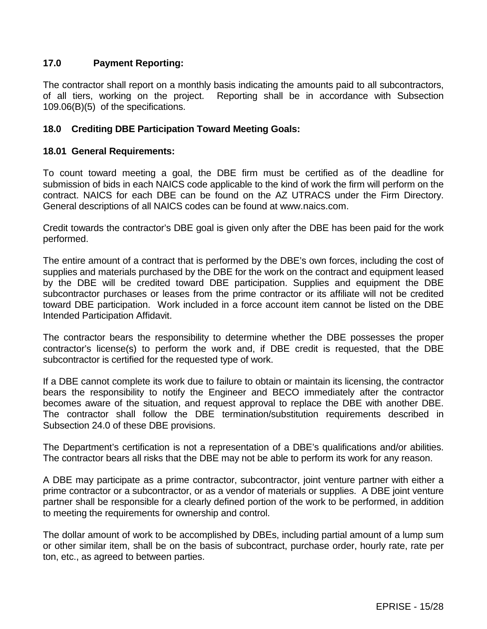## **17.0 Payment Reporting:**

The contractor shall report on a monthly basis indicating the amounts paid to all subcontractors, of all tiers, working on the project. Reporting shall be in accordance with Subsection Reporting shall be in accordance with Subsection 109.06(B)(5) of the specifications.

### **18.0 Crediting DBE Participation Toward Meeting Goals:**

#### **18.01 General Requirements:**

To count toward meeting a goal, the DBE firm must be certified as of the deadline for submission of bids in each NAICS code applicable to the kind of work the firm will perform on the contract. NAICS for each DBE can be found on the AZ UTRACS under the Firm Directory. General descriptions of all NAICS codes can be found at www.naics.com.

Credit towards the contractor's DBE goal is given only after the DBE has been paid for the work performed.

The entire amount of a contract that is performed by the DBE's own forces, including the cost of supplies and materials purchased by the DBE for the work on the contract and equipment leased by the DBE will be credited toward DBE participation. Supplies and equipment the DBE subcontractor purchases or leases from the prime contractor or its affiliate will not be credited toward DBE participation. Work included in a force account item cannot be listed on the DBE Intended Participation Affidavit.

The contractor bears the responsibility to determine whether the DBE possesses the proper contractor's license(s) to perform the work and, if DBE credit is requested, that the DBE subcontractor is certified for the requested type of work.

If a DBE cannot complete its work due to failure to obtain or maintain its licensing, the contractor bears the responsibility to notify the Engineer and BECO immediately after the contractor becomes aware of the situation, and request approval to replace the DBE with another DBE. The contractor shall follow the DBE termination/substitution requirements described in Subsection 24.0 of these DBE provisions.

The Department's certification is not a representation of a DBE's qualifications and/or abilities. The contractor bears all risks that the DBE may not be able to perform its work for any reason.

A DBE may participate as a prime contractor, subcontractor, joint venture partner with either a prime contractor or a subcontractor, or as a vendor of materials or supplies. A DBE joint venture partner shall be responsible for a clearly defined portion of the work to be performed, in addition to meeting the requirements for ownership and control.

The dollar amount of work to be accomplished by DBEs, including partial amount of a lump sum or other similar item, shall be on the basis of subcontract, purchase order, hourly rate, rate per ton, etc., as agreed to between parties.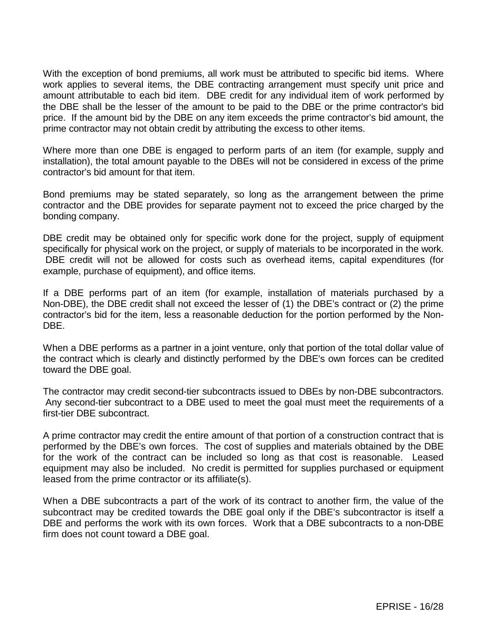With the exception of bond premiums, all work must be attributed to specific bid items. Where work applies to several items, the DBE contracting arrangement must specify unit price and amount attributable to each bid item. DBE credit for any individual item of work performed by the DBE shall be the lesser of the amount to be paid to the DBE or the prime contractor's bid price. If the amount bid by the DBE on any item exceeds the prime contractor's bid amount, the prime contractor may not obtain credit by attributing the excess to other items.

Where more than one DBE is engaged to perform parts of an item (for example, supply and installation), the total amount payable to the DBEs will not be considered in excess of the prime contractor's bid amount for that item.

Bond premiums may be stated separately, so long as the arrangement between the prime contractor and the DBE provides for separate payment not to exceed the price charged by the bonding company.

DBE credit may be obtained only for specific work done for the project, supply of equipment specifically for physical work on the project, or supply of materials to be incorporated in the work. DBE credit will not be allowed for costs such as overhead items, capital expenditures (for example, purchase of equipment), and office items.

If a DBE performs part of an item (for example, installation of materials purchased by a Non-DBE), the DBE credit shall not exceed the lesser of (1) the DBE's contract or (2) the prime contractor's bid for the item, less a reasonable deduction for the portion performed by the Non-DBE.

When a DBE performs as a partner in a joint venture, only that portion of the total dollar value of the contract which is clearly and distinctly performed by the DBE's own forces can be credited toward the DBE goal.

The contractor may credit second-tier subcontracts issued to DBEs by non-DBE subcontractors. Any second-tier subcontract to a DBE used to meet the goal must meet the requirements of a first-tier DBE subcontract.

A prime contractor may credit the entire amount of that portion of a construction contract that is performed by the DBE's own forces. The cost of supplies and materials obtained by the DBE for the work of the contract can be included so long as that cost is reasonable. Leased equipment may also be included. No credit is permitted for supplies purchased or equipment leased from the prime contractor or its affiliate(s).

When a DBE subcontracts a part of the work of its contract to another firm, the value of the subcontract may be credited towards the DBE goal only if the DBE's subcontractor is itself a DBE and performs the work with its own forces. Work that a DBE subcontracts to a non-DBE firm does not count toward a DBE goal.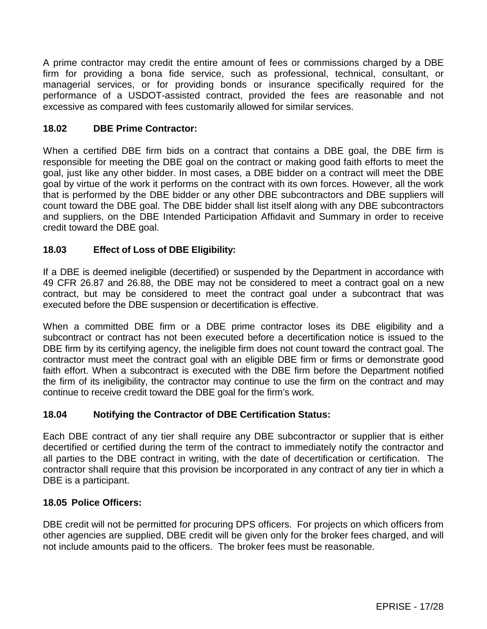A prime contractor may credit the entire amount of fees or commissions charged by a DBE firm for providing a bona fide service, such as professional, technical, consultant, or managerial services, or for providing bonds or insurance specifically required for the performance of a USDOT-assisted contract, provided the fees are reasonable and not excessive as compared with fees customarily allowed for similar services.

### **18.02 DBE Prime Contractor:**

When a certified DBE firm bids on a contract that contains a DBE goal, the DBE firm is responsible for meeting the DBE goal on the contract or making good faith efforts to meet the goal, just like any other bidder. In most cases, a DBE bidder on a contract will meet the DBE goal by virtue of the work it performs on the contract with its own forces. However, all the work that is performed by the DBE bidder or any other DBE subcontractors and DBE suppliers will count toward the DBE goal. The DBE bidder shall list itself along with any DBE subcontractors and suppliers, on the DBE Intended Participation Affidavit and Summary in order to receive credit toward the DBE goal.

## **18.03 Effect of Loss of DBE Eligibility:**

If a DBE is deemed ineligible (decertified) or suspended by the Department in accordance with 49 CFR 26.87 and 26.88, the DBE may not be considered to meet a contract goal on a new contract, but may be considered to meet the contract goal under a subcontract that was executed before the DBE suspension or decertification is effective.

When a committed DBE firm or a DBE prime contractor loses its DBE eligibility and a subcontract or contract has not been executed before a decertification notice is issued to the DBE firm by its certifying agency, the ineligible firm does not count toward the contract goal. The contractor must meet the contract goal with an eligible DBE firm or firms or demonstrate good faith effort. When a subcontract is executed with the DBE firm before the Department notified the firm of its ineligibility, the contractor may continue to use the firm on the contract and may continue to receive credit toward the DBE goal for the firm's work.

### **18.04 Notifying the Contractor of DBE Certification Status:**

Each DBE contract of any tier shall require any DBE subcontractor or supplier that is either decertified or certified during the term of the contract to immediately notify the contractor and all parties to the DBE contract in writing, with the date of decertification or certification. The contractor shall require that this provision be incorporated in any contract of any tier in which a DBE is a participant.

## **18.05 Police Officers:**

DBE credit will not be permitted for procuring DPS officers. For projects on which officers from other agencies are supplied, DBE credit will be given only for the broker fees charged, and will not include amounts paid to the officers. The broker fees must be reasonable.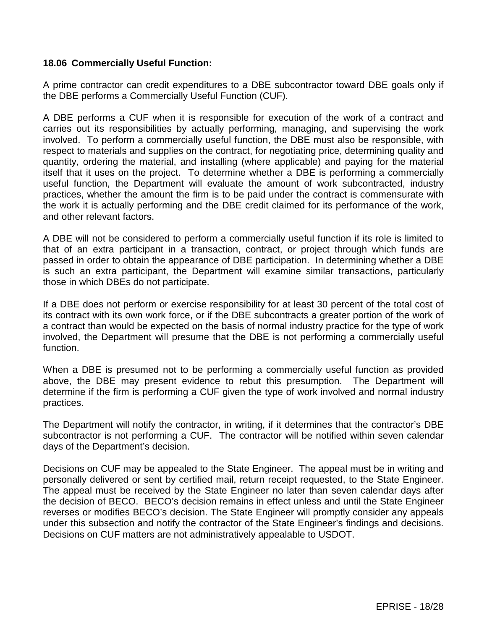#### **18.06 Commercially Useful Function:**

A prime contractor can credit expenditures to a DBE subcontractor toward DBE goals only if the DBE performs a Commercially Useful Function (CUF).

A DBE performs a CUF when it is responsible for execution of the work of a contract and carries out its responsibilities by actually performing, managing, and supervising the work involved. To perform a commercially useful function, the DBE must also be responsible, with respect to materials and supplies on the contract, for negotiating price, determining quality and quantity, ordering the material, and installing (where applicable) and paying for the material itself that it uses on the project. To determine whether a DBE is performing a commercially useful function, the Department will evaluate the amount of work subcontracted, industry practices, whether the amount the firm is to be paid under the contract is commensurate with the work it is actually performing and the DBE credit claimed for its performance of the work, and other relevant factors.

A DBE will not be considered to perform a commercially useful function if its role is limited to that of an extra participant in a transaction, contract, or project through which funds are passed in order to obtain the appearance of DBE participation. In determining whether a DBE is such an extra participant, the Department will examine similar transactions, particularly those in which DBEs do not participate.

If a DBE does not perform or exercise responsibility for at least 30 percent of the total cost of its contract with its own work force, or if the DBE subcontracts a greater portion of the work of a contract than would be expected on the basis of normal industry practice for the type of work involved, the Department will presume that the DBE is not performing a commercially useful function.

When a DBE is presumed not to be performing a commercially useful function as provided above, the DBE may present evidence to rebut this presumption. The Department will determine if the firm is performing a CUF given the type of work involved and normal industry practices.

The Department will notify the contractor, in writing, if it determines that the contractor's DBE subcontractor is not performing a CUF. The contractor will be notified within seven calendar days of the Department's decision.

Decisions on CUF may be appealed to the State Engineer. The appeal must be in writing and personally delivered or sent by certified mail, return receipt requested, to the State Engineer. The appeal must be received by the State Engineer no later than seven calendar days after the decision of BECO. BECO's decision remains in effect unless and until the State Engineer reverses or modifies BECO's decision. The State Engineer will promptly consider any appeals under this subsection and notify the contractor of the State Engineer's findings and decisions. Decisions on CUF matters are not administratively appealable to USDOT.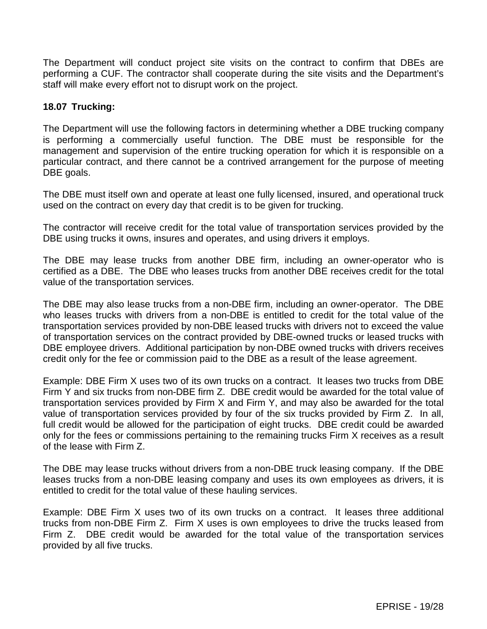The Department will conduct project site visits on the contract to confirm that DBEs are performing a CUF. The contractor shall cooperate during the site visits and the Department's staff will make every effort not to disrupt work on the project.

### **18.07 Trucking:**

The Department will use the following factors in determining whether a DBE trucking company is performing a commercially useful function. The DBE must be responsible for the management and supervision of the entire trucking operation for which it is responsible on a particular contract, and there cannot be a contrived arrangement for the purpose of meeting DBE goals.

The DBE must itself own and operate at least one fully licensed, insured, and operational truck used on the contract on every day that credit is to be given for trucking.

The contractor will receive credit for the total value of transportation services provided by the DBE using trucks it owns, insures and operates, and using drivers it employs.

The DBE may lease trucks from another DBE firm, including an owner-operator who is certified as a DBE. The DBE who leases trucks from another DBE receives credit for the total value of the transportation services.

The DBE may also lease trucks from a non-DBE firm, including an owner-operator. The DBE who leases trucks with drivers from a non-DBE is entitled to credit for the total value of the transportation services provided by non-DBE leased trucks with drivers not to exceed the value of transportation services on the contract provided by DBE-owned trucks or leased trucks with DBE employee drivers. Additional participation by non-DBE owned trucks with drivers receives credit only for the fee or commission paid to the DBE as a result of the lease agreement.

Example: DBE Firm X uses two of its own trucks on a contract. It leases two trucks from DBE Firm Y and six trucks from non-DBE firm Z. DBE credit would be awarded for the total value of transportation services provided by Firm X and Firm Y, and may also be awarded for the total value of transportation services provided by four of the six trucks provided by Firm Z. In all, full credit would be allowed for the participation of eight trucks. DBE credit could be awarded only for the fees or commissions pertaining to the remaining trucks Firm X receives as a result of the lease with Firm Z.

The DBE may lease trucks without drivers from a non-DBE truck leasing company. If the DBE leases trucks from a non-DBE leasing company and uses its own employees as drivers, it is entitled to credit for the total value of these hauling services.

Example: DBE Firm X uses two of its own trucks on a contract. It leases three additional trucks from non-DBE Firm Z. Firm X uses is own employees to drive the trucks leased from Firm Z. DBE credit would be awarded for the total value of the transportation services provided by all five trucks.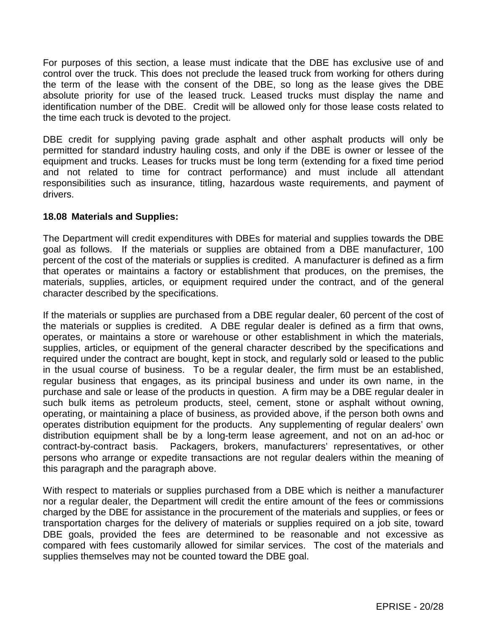For purposes of this section, a lease must indicate that the DBE has exclusive use of and control over the truck. This does not preclude the leased truck from working for others during the term of the lease with the consent of the DBE, so long as the lease gives the DBE absolute priority for use of the leased truck. Leased trucks must display the name and identification number of the DBE. Credit will be allowed only for those lease costs related to the time each truck is devoted to the project.

DBE credit for supplying paving grade asphalt and other asphalt products will only be permitted for standard industry hauling costs, and only if the DBE is owner or lessee of the equipment and trucks. Leases for trucks must be long term (extending for a fixed time period and not related to time for contract performance) and must include all attendant responsibilities such as insurance, titling, hazardous waste requirements, and payment of drivers.

### **18.08 Materials and Supplies:**

The Department will credit expenditures with DBEs for material and supplies towards the DBE goal as follows. If the materials or supplies are obtained from a DBE manufacturer, 100 percent of the cost of the materials or supplies is credited. A manufacturer is defined as a firm that operates or maintains a factory or establishment that produces, on the premises, the materials, supplies, articles, or equipment required under the contract, and of the general character described by the specifications.

If the materials or supplies are purchased from a DBE regular dealer, 60 percent of the cost of the materials or supplies is credited. A DBE regular dealer is defined as a firm that owns, operates, or maintains a store or warehouse or other establishment in which the materials, supplies, articles, or equipment of the general character described by the specifications and required under the contract are bought, kept in stock, and regularly sold or leased to the public in the usual course of business. To be a regular dealer, the firm must be an established, regular business that engages, as its principal business and under its own name, in the purchase and sale or lease of the products in question. A firm may be a DBE regular dealer in such bulk items as petroleum products, steel, cement, stone or asphalt without owning, operating, or maintaining a place of business, as provided above, if the person both owns and operates distribution equipment for the products. Any supplementing of regular dealers' own distribution equipment shall be by a long-term lease agreement, and not on an ad-hoc or contract-by-contract basis. Packagers, brokers, manufacturers' representatives, or other persons who arrange or expedite transactions are not regular dealers within the meaning of this paragraph and the paragraph above.

With respect to materials or supplies purchased from a DBE which is neither a manufacturer nor a regular dealer, the Department will credit the entire amount of the fees or commissions charged by the DBE for assistance in the procurement of the materials and supplies, or fees or transportation charges for the delivery of materials or supplies required on a job site, toward DBE goals, provided the fees are determined to be reasonable and not excessive as compared with fees customarily allowed for similar services. The cost of the materials and supplies themselves may not be counted toward the DBE goal.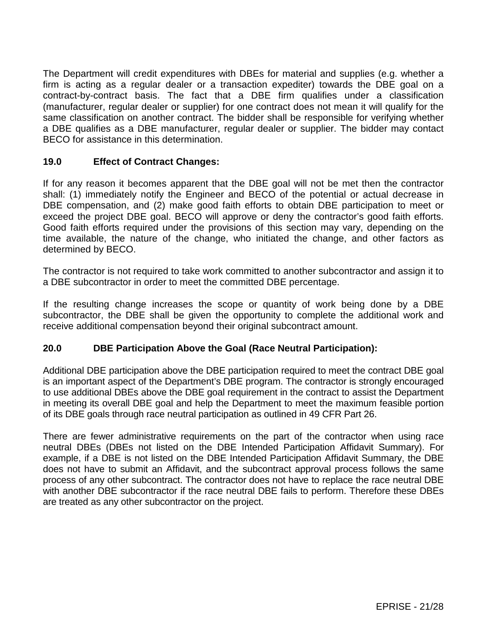The Department will credit expenditures with DBEs for material and supplies (e.g. whether a firm is acting as a regular dealer or a transaction expediter) towards the DBE goal on a contract-by-contract basis. The fact that a DBE firm qualifies under a classification (manufacturer, regular dealer or supplier) for one contract does not mean it will qualify for the same classification on another contract. The bidder shall be responsible for verifying whether a DBE qualifies as a DBE manufacturer, regular dealer or supplier. The bidder may contact BECO for assistance in this determination.

### **19.0 Effect of Contract Changes:**

If for any reason it becomes apparent that the DBE goal will not be met then the contractor shall: (1) immediately notify the Engineer and BECO of the potential or actual decrease in DBE compensation, and (2) make good faith efforts to obtain DBE participation to meet or exceed the project DBE goal. BECO will approve or deny the contractor's good faith efforts. Good faith efforts required under the provisions of this section may vary, depending on the time available, the nature of the change, who initiated the change, and other factors as determined by BECO.

The contractor is not required to take work committed to another subcontractor and assign it to a DBE subcontractor in order to meet the committed DBE percentage.

If the resulting change increases the scope or quantity of work being done by a DBE subcontractor, the DBE shall be given the opportunity to complete the additional work and receive additional compensation beyond their original subcontract amount.

### **20.0 DBE Participation Above the Goal (Race Neutral Participation):**

Additional DBE participation above the DBE participation required to meet the contract DBE goal is an important aspect of the Department's DBE program. The contractor is strongly encouraged to use additional DBEs above the DBE goal requirement in the contract to assist the Department in meeting its overall DBE goal and help the Department to meet the maximum feasible portion of its DBE goals through race neutral participation as outlined in 49 CFR Part 26.

There are fewer administrative requirements on the part of the contractor when using race neutral DBEs (DBEs not listed on the DBE Intended Participation Affidavit Summary). For example, if a DBE is not listed on the DBE Intended Participation Affidavit Summary, the DBE does not have to submit an Affidavit, and the subcontract approval process follows the same process of any other subcontract. The contractor does not have to replace the race neutral DBE with another DBE subcontractor if the race neutral DBE fails to perform. Therefore these DBEs are treated as any other subcontractor on the project.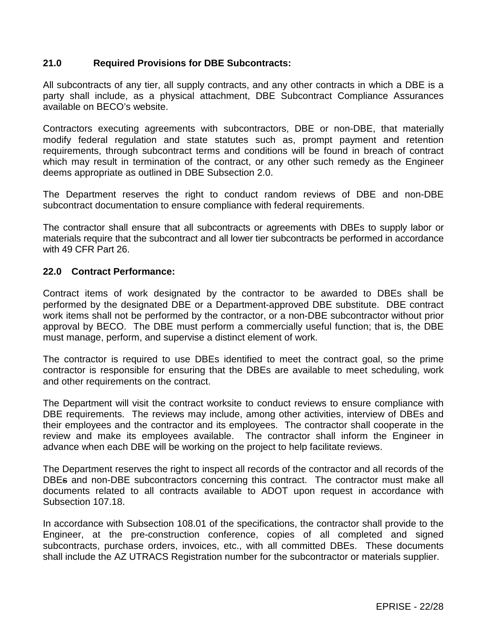### **21.0 Required Provisions for DBE Subcontracts:**

All subcontracts of any tier, all supply contracts, and any other contracts in which a DBE is a party shall include, as a physical attachment, DBE Subcontract Compliance Assurances available on BECO's website.

Contractors executing agreements with subcontractors, DBE or non-DBE, that materially modify federal regulation and state statutes such as, prompt payment and retention requirements, through subcontract terms and conditions will be found in breach of contract which may result in termination of the contract, or any other such remedy as the Engineer deems appropriate as outlined in DBE Subsection 2.0.

The Department reserves the right to conduct random reviews of DBE and non-DBE subcontract documentation to ensure compliance with federal requirements.

The contractor shall ensure that all subcontracts or agreements with DBEs to supply labor or materials require that the subcontract and all lower tier subcontracts be performed in accordance with 49 CFR Part 26.

### **22.0 Contract Performance:**

Contract items of work designated by the contractor to be awarded to DBEs shall be performed by the designated DBE or a Department-approved DBE substitute. DBE contract work items shall not be performed by the contractor, or a non-DBE subcontractor without prior approval by BECO. The DBE must perform a commercially useful function; that is, the DBE must manage, perform, and supervise a distinct element of work.

The contractor is required to use DBEs identified to meet the contract goal, so the prime contractor is responsible for ensuring that the DBEs are available to meet scheduling, work and other requirements on the contract.

The Department will visit the contract worksite to conduct reviews to ensure compliance with DBE requirements. The reviews may include, among other activities, interview of DBEs and their employees and the contractor and its employees. The contractor shall cooperate in the review and make its employees available. The contractor shall inform the Engineer in advance when each DBE will be working on the project to help facilitate reviews.

The Department reserves the right to inspect all records of the contractor and all records of the DBEs and non-DBE subcontractors concerning this contract. The contractor must make all documents related to all contracts available to ADOT upon request in accordance with Subsection 107.18.

In accordance with Subsection 108.01 of the specifications, the contractor shall provide to the Engineer, at the pre-construction conference, copies of all completed and signed subcontracts, purchase orders, invoices, etc., with all committed DBEs. These documents shall include the AZ UTRACS Registration number for the subcontractor or materials supplier.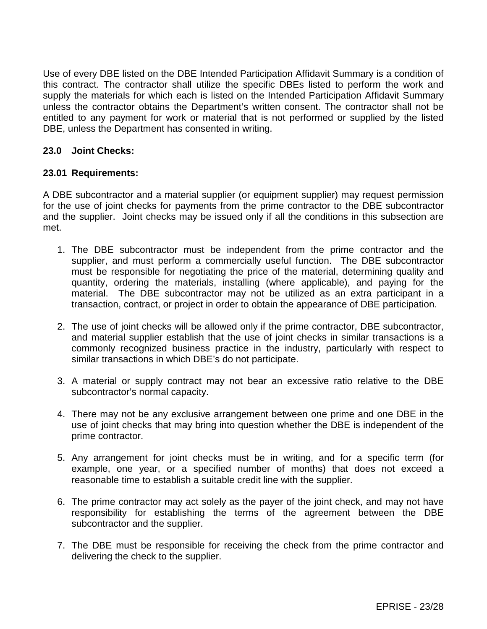Use of every DBE listed on the DBE Intended Participation Affidavit Summary is a condition of this contract. The contractor shall utilize the specific DBEs listed to perform the work and supply the materials for which each is listed on the Intended Participation Affidavit Summary unless the contractor obtains the Department's written consent. The contractor shall not be entitled to any payment for work or material that is not performed or supplied by the listed DBE, unless the Department has consented in writing.

### **23.0 Joint Checks:**

#### **23.01 Requirements:**

A DBE subcontractor and a material supplier (or equipment supplier) may request permission for the use of joint checks for payments from the prime contractor to the DBE subcontractor and the supplier. Joint checks may be issued only if all the conditions in this subsection are met.

- 1. The DBE subcontractor must be independent from the prime contractor and the supplier, and must perform a commercially useful function. The DBE subcontractor must be responsible for negotiating the price of the material, determining quality and quantity, ordering the materials, installing (where applicable), and paying for the material. The DBE subcontractor may not be utilized as an extra participant in a transaction, contract, or project in order to obtain the appearance of DBE participation.
- 2. The use of joint checks will be allowed only if the prime contractor, DBE subcontractor, and material supplier establish that the use of joint checks in similar transactions is a commonly recognized business practice in the industry, particularly with respect to similar transactions in which DBE's do not participate.
- 3. A material or supply contract may not bear an excessive ratio relative to the DBE subcontractor's normal capacity.
- 4. There may not be any exclusive arrangement between one prime and one DBE in the use of joint checks that may bring into question whether the DBE is independent of the prime contractor.
- 5. Any arrangement for joint checks must be in writing, and for a specific term (for example, one year, or a specified number of months) that does not exceed a reasonable time to establish a suitable credit line with the supplier.
- 6. The prime contractor may act solely as the payer of the joint check, and may not have responsibility for establishing the terms of the agreement between the DBE subcontractor and the supplier.
- 7. The DBE must be responsible for receiving the check from the prime contractor and delivering the check to the supplier.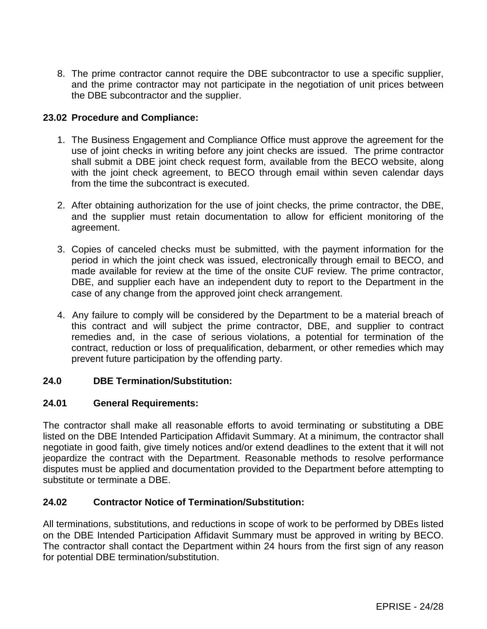8. The prime contractor cannot require the DBE subcontractor to use a specific supplier, and the prime contractor may not participate in the negotiation of unit prices between the DBE subcontractor and the supplier.

### **23.02 Procedure and Compliance:**

- 1. The Business Engagement and Compliance Office must approve the agreement for the use of joint checks in writing before any joint checks are issued. The prime contractor shall submit a DBE joint check request form, available from the BECO website, along with the joint check agreement, to BECO through email within seven calendar days from the time the subcontract is executed.
- 2. After obtaining authorization for the use of joint checks, the prime contractor, the DBE, and the supplier must retain documentation to allow for efficient monitoring of the agreement.
- 3. Copies of canceled checks must be submitted, with the payment information for the period in which the joint check was issued, electronically through email to BECO, and made available for review at the time of the onsite CUF review. The prime contractor, DBE, and supplier each have an independent duty to report to the Department in the case of any change from the approved joint check arrangement.
- 4. Any failure to comply will be considered by the Department to be a material breach of this contract and will subject the prime contractor, DBE, and supplier to contract remedies and, in the case of serious violations, a potential for termination of the contract, reduction or loss of prequalification, debarment, or other remedies which may prevent future participation by the offending party.

### **24.0 DBE Termination/Substitution:**

### **24.01 General Requirements:**

The contractor shall make all reasonable efforts to avoid terminating or substituting a DBE listed on the DBE Intended Participation Affidavit Summary. At a minimum, the contractor shall negotiate in good faith, give timely notices and/or extend deadlines to the extent that it will not jeopardize the contract with the Department. Reasonable methods to resolve performance disputes must be applied and documentation provided to the Department before attempting to substitute or terminate a DBE.

# **24.02 Contractor Notice of Termination/Substitution:**

All terminations, substitutions, and reductions in scope of work to be performed by DBEs listed on the DBE Intended Participation Affidavit Summary must be approved in writing by BECO. The contractor shall contact the Department within 24 hours from the first sign of any reason for potential DBE termination/substitution.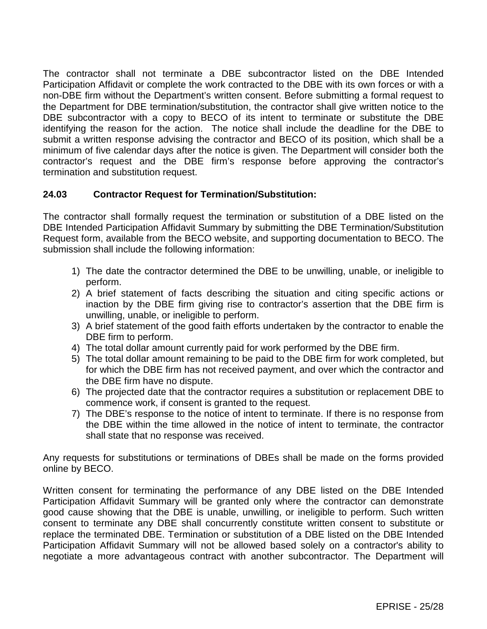The contractor shall not terminate a DBE subcontractor listed on the DBE Intended Participation Affidavit or complete the work contracted to the DBE with its own forces or with a non-DBE firm without the Department's written consent. Before submitting a formal request to the Department for DBE termination/substitution, the contractor shall give written notice to the DBE subcontractor with a copy to BECO of its intent to terminate or substitute the DBE identifying the reason for the action. The notice shall include the deadline for the DBE to submit a written response advising the contractor and BECO of its position, which shall be a minimum of five calendar days after the notice is given. The Department will consider both the contractor's request and the DBE firm's response before approving the contractor's termination and substitution request.

# **24.03 Contractor Request for Termination/Substitution:**

The contractor shall formally request the termination or substitution of a DBE listed on the DBE Intended Participation Affidavit Summary by submitting the DBE Termination/Substitution Request form, available from the BECO website, and supporting documentation to BECO. The submission shall include the following information:

- 1) The date the contractor determined the DBE to be unwilling, unable, or ineligible to perform.
- 2) A brief statement of facts describing the situation and citing specific actions or inaction by the DBE firm giving rise to contractor's assertion that the DBE firm is unwilling, unable, or ineligible to perform.
- 3) A brief statement of the good faith efforts undertaken by the contractor to enable the DBE firm to perform.
- 4) The total dollar amount currently paid for work performed by the DBE firm.
- 5) The total dollar amount remaining to be paid to the DBE firm for work completed, but for which the DBE firm has not received payment, and over which the contractor and the DBE firm have no dispute.
- 6) The projected date that the contractor requires a substitution or replacement DBE to commence work, if consent is granted to the request.
- 7) The DBE's response to the notice of intent to terminate. If there is no response from the DBE within the time allowed in the notice of intent to terminate, the contractor shall state that no response was received.

Any requests for substitutions or terminations of DBEs shall be made on the forms provided online by BECO.

Written consent for terminating the performance of any DBE listed on the DBE Intended Participation Affidavit Summary will be granted only where the contractor can demonstrate good cause showing that the DBE is unable, unwilling, or ineligible to perform. Such written consent to terminate any DBE shall concurrently constitute written consent to substitute or replace the terminated DBE. Termination or substitution of a DBE listed on the DBE Intended Participation Affidavit Summary will not be allowed based solely on a contractor's ability to negotiate a more advantageous contract with another subcontractor. The Department will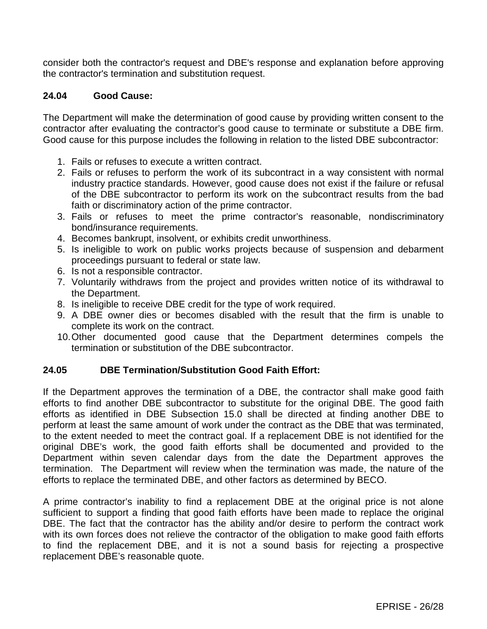consider both the contractor's request and DBE's response and explanation before approving the contractor's termination and substitution request.

### **24.04 Good Cause:**

The Department will make the determination of good cause by providing written consent to the contractor after evaluating the contractor's good cause to terminate or substitute a DBE firm. Good cause for this purpose includes the following in relation to the listed DBE subcontractor:

- 1. Fails or refuses to execute a written contract.
- 2. Fails or refuses to perform the work of its subcontract in a way consistent with normal industry practice standards. However, good cause does not exist if the failure or refusal of the DBE subcontractor to perform its work on the subcontract results from the bad faith or discriminatory action of the prime contractor.
- 3. Fails or refuses to meet the prime contractor's reasonable, nondiscriminatory bond/insurance requirements.
- 4. Becomes bankrupt, insolvent, or exhibits credit unworthiness.
- 5. Is ineligible to work on public works projects because of suspension and debarment proceedings pursuant to federal or state law.
- 6. Is not a responsible contractor.
- 7. Voluntarily withdraws from the project and provides written notice of its withdrawal to the Department.
- 8. Is ineligible to receive DBE credit for the type of work required.
- 9. A DBE owner dies or becomes disabled with the result that the firm is unable to complete its work on the contract.
- 10.Other documented good cause that the Department determines compels the termination or substitution of the DBE subcontractor.

### **24.05 DBE Termination/Substitution Good Faith Effort:**

If the Department approves the termination of a DBE, the contractor shall make good faith efforts to find another DBE subcontractor to substitute for the original DBE. The good faith efforts as identified in DBE Subsection 15.0 shall be directed at finding another DBE to perform at least the same amount of work under the contract as the DBE that was terminated, to the extent needed to meet the contract goal. If a replacement DBE is not identified for the original DBE's work, the good faith efforts shall be documented and provided to the Department within seven calendar days from the date the Department approves the termination. The Department will review when the termination was made, the nature of the efforts to replace the terminated DBE, and other factors as determined by BECO.

A prime contractor's inability to find a replacement DBE at the original price is not alone sufficient to support a finding that good faith efforts have been made to replace the original DBE. The fact that the contractor has the ability and/or desire to perform the contract work with its own forces does not relieve the contractor of the obligation to make good faith efforts to find the replacement DBE, and it is not a sound basis for rejecting a prospective replacement DBE's reasonable quote.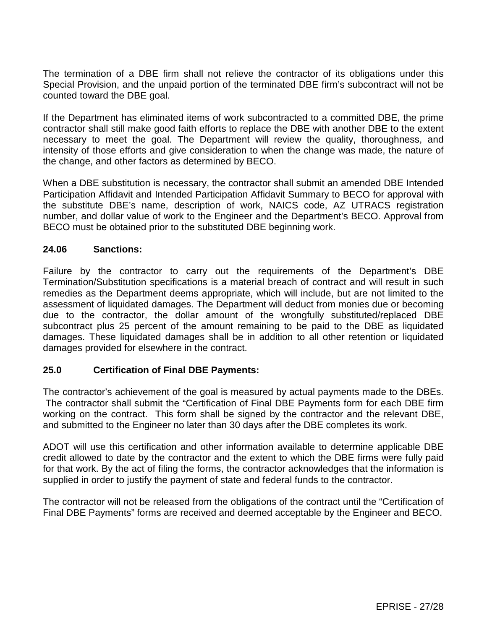The termination of a DBE firm shall not relieve the contractor of its obligations under this Special Provision, and the unpaid portion of the terminated DBE firm's subcontract will not be counted toward the DBE goal.

If the Department has eliminated items of work subcontracted to a committed DBE, the prime contractor shall still make good faith efforts to replace the DBE with another DBE to the extent necessary to meet the goal. The Department will review the quality, thoroughness, and intensity of those efforts and give consideration to when the change was made, the nature of the change, and other factors as determined by BECO.

When a DBE substitution is necessary, the contractor shall submit an amended DBE Intended Participation Affidavit and Intended Participation Affidavit Summary to BECO for approval with the substitute DBE's name, description of work, NAICS code, AZ UTRACS registration number, and dollar value of work to the Engineer and the Department's BECO. Approval from BECO must be obtained prior to the substituted DBE beginning work.

### **24.06 Sanctions:**

Failure by the contractor to carry out the requirements of the Department's DBE Termination/Substitution specifications is a material breach of contract and will result in such remedies as the Department deems appropriate, which will include, but are not limited to the assessment of liquidated damages. The Department will deduct from monies due or becoming due to the contractor, the dollar amount of the wrongfully substituted/replaced DBE subcontract plus 25 percent of the amount remaining to be paid to the DBE as liquidated damages. These liquidated damages shall be in addition to all other retention or liquidated damages provided for elsewhere in the contract.

### **25.0 Certification of Final DBE Payments:**

The contractor's achievement of the goal is measured by actual payments made to the DBEs. The contractor shall submit the "Certification of Final DBE Payments form for each DBE firm working on the contract. This form shall be signed by the contractor and the relevant DBE, and submitted to the Engineer no later than 30 days after the DBE completes its work.

ADOT will use this certification and other information available to determine applicable DBE credit allowed to date by the contractor and the extent to which the DBE firms were fully paid for that work. By the act of filing the forms, the contractor acknowledges that the information is supplied in order to justify the payment of state and federal funds to the contractor.

The contractor will not be released from the obligations of the contract until the "Certification of Final DBE Payments" forms are received and deemed acceptable by the Engineer and BECO.